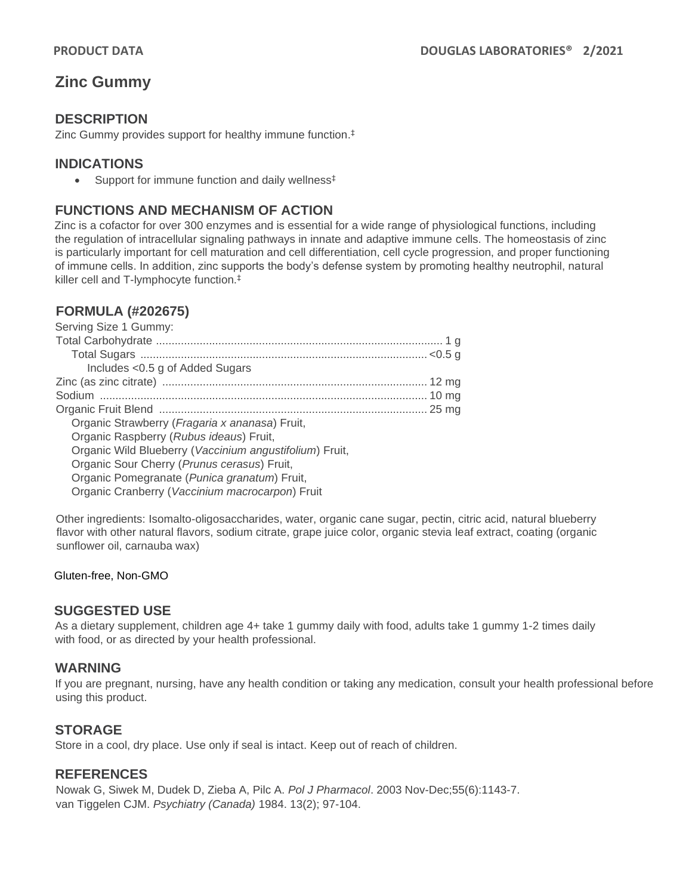# **Zinc Gummy**

## **DESCRIPTION**

Zinc Gummy provides support for healthy immune function. ‡

### **INDICATIONS**

• Support for immune function and daily wellness<sup>‡</sup>

## **FUNCTIONS AND MECHANISM OF ACTION**

Zinc is a cofactor for over 300 enzymes and is essential for a wide range of physiological functions, including the regulation of intracellular signaling pathways in innate and adaptive immune cells. The homeostasis of zinc is particularly important for cell maturation and cell differentiation, cell cycle progression, and proper functioning of immune cells. In addition, zinc supports the body's defense system by promoting healthy neutrophil, natural killer cell and T-lymphocyte function.‡

## **FORMULA (#202675)**

| Serving Size 1 Gummy:                                   |  |
|---------------------------------------------------------|--|
|                                                         |  |
|                                                         |  |
| Includes <0.5 g of Added Sugars                         |  |
|                                                         |  |
|                                                         |  |
|                                                         |  |
| Organic Strawberry (Fragaria x ananasa) Fruit,          |  |
| Organic Raspberry (Rubus ideaus) Fruit,                 |  |
| Organic Wild Blueberry (Vaccinium angustifolium) Fruit, |  |
| Organic Sour Cherry (Prunus cerasus) Fruit,             |  |
| Organic Pomegranate (Punica granatum) Fruit,            |  |
| Organic Cranberry (Vaccinium macrocarpon) Fruit         |  |
|                                                         |  |

Other ingredients: Isomalto-oligosaccharides, water, organic cane sugar, pectin, citric acid, natural blueberry flavor with other natural flavors, sodium citrate, grape juice color, organic stevia leaf extract, coating (organic sunflower oil, carnauba wax)

#### Gluten-free, Non-GMO

#### **SUGGESTED USE**

As a dietary supplement, children age 4+ take 1 gummy daily with food, adults take 1 gummy 1-2 times daily with food, or as directed by your health professional.

#### **WARNING**

If you are pregnant, nursing, have any health condition or taking any medication, consult your health professional before using this product.

#### **STORAGE**

Store in a cool, dry place. Use only if seal is intact. Keep out of reach of children.

## **REFERENCES**

Nowak G, Siwek M, Dudek D, Zieba A, Pilc A. *Pol J Pharmacol*. 2003 Nov-Dec;55(6):1143-7. van Tiggelen CJM. *Psychiatry (Canada)* 1984. 13(2); 97-104.